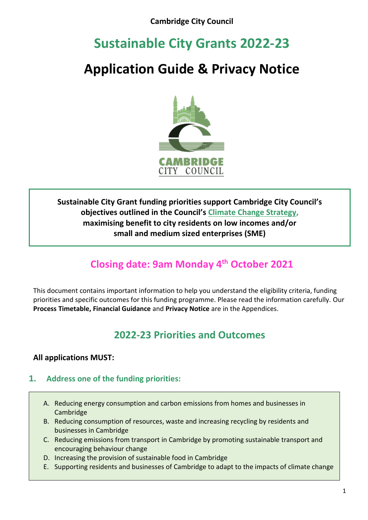# **Sustainable City Grants 2022-23**

# **Application Guide & Privacy Notice**



# **Sustainable City Grant funding priorities support Cambridge City Council's objectives outlined in the Council's [Climate Change Strategy,](https://www.cambridge.gov.uk/climate-change-strategy) maximising benefit to city residents on low incomes and/or small and medium sized enterprises (SME)**

# **Closing date: 9am Monday 4th October 2021**

This document contains important information to help you understand the eligibility criteria, funding priorities and specific outcomes for this funding programme. Please read the information carefully. Our **Process Timetable, Financial Guidance** and **Privacy Notice** are in the Appendices.

# **2022-23 Priorities and Outcomes**

# **All applications MUST:**

## **1. Address one of the funding priorities:**

- A. Reducing energy consumption and carbon emissions from homes and businesses in Cambridge
- B. Reducing consumption of resources, waste and increasing recycling by residents and businesses in Cambridge
- C. Reducing emissions from transport in Cambridge by promoting sustainable transport and encouraging behaviour change
- D. Increasing the provision of sustainable food in Cambridge
- E. Supporting residents and businesses of Cambridge to adapt to the impacts of climate change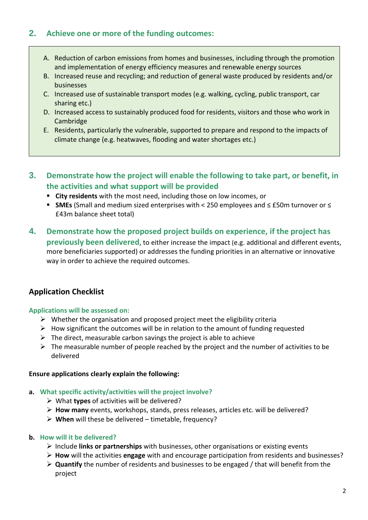## **2. Achieve one or more of the funding outcomes:**

- A. Reduction of carbon emissions from homes and businesses, including through the promotion and implementation of energy efficiency measures and renewable energy sources
- B. Increased reuse and recycling; and reduction of general waste produced by residents and/or businesses
- C. Increased use of sustainable transport modes (e.g. walking, cycling, public transport, car sharing etc.)
- D. Increased access to sustainably produced food for residents, visitors and those who work in Cambridge
- E. Residents, particularly the vulnerable, supported to prepare and respond to the impacts of climate change (e.g. heatwaves, flooding and water shortages etc.)
- **3. Demonstrate how the project will enable the following to take part, or benefit, in the activities and what support will be provided**
	- **City residents** with the most need, including those on low incomes, or
	- **SMEs** (Small and medium sized enterprises with < 250 employees and ≤ £50m turnover or ≤ £43m balance sheet total)
- **4. Demonstrate how the proposed project builds on experience, if the project has previously been delivered**, to either increase the impact (e.g. additional and different events, more beneficiaries supported) or addresses the funding priorities in an alternative or innovative way in order to achieve the required outcomes.

## **Application Checklist**

### **Applications will be assessed on:**

- $\triangleright$  Whether the organisation and proposed project meet the eligibility criteria
- $\triangleright$  How significant the outcomes will be in relation to the amount of funding requested
- $\triangleright$  The direct, measurable carbon savings the project is able to achieve
- $\triangleright$  The measurable number of people reached by the project and the number of activities to be delivered

### **Ensure applications clearly explain the following:**

### **a. What specific activity/activities will the project involve?**

- ➢ What **types** of activities will be delivered?
- ➢ **How many** events, workshops, stands, press releases, articles etc. will be delivered?
- ➢ **When** will these be delivered timetable, frequency?

### **b. How will it be delivered?**

- ➢ Include **links or partnerships** with businesses, other organisations or existing events
- ➢ **How** will the activities **engage** with and encourage participation from residents and businesses?
- ➢ **Quantify** the number of residents and businesses to be engaged / that will benefit from the project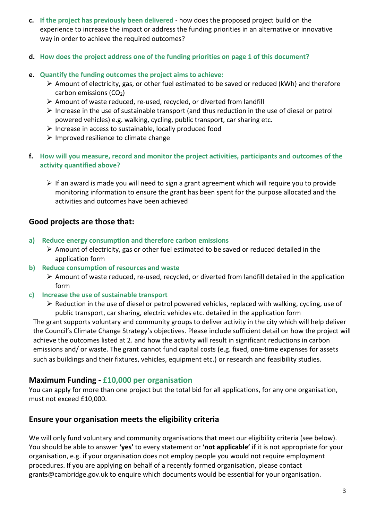- **c. If the project has previously been delivered**  how does the proposed project build on the experience to increase the impact or address the funding priorities in an alternative or innovative way in order to achieve the required outcomes?
- **d. How does the project address one of the funding priorities on page 1 of this document?**
- **e. Quantify the funding outcomes the project aims to achieve:**
	- $\triangleright$  Amount of electricity, gas, or other fuel estimated to be saved or reduced (kWh) and therefore carbon emissions  $(CO<sub>2</sub>)$
	- ➢ Amount of waste reduced, re-used, recycled, or diverted from landfill
	- ➢ Increase in the use of sustainable transport (and thus reduction in the use of diesel or petrol powered vehicles) e.g. walking, cycling, public transport, car sharing etc.
	- ➢ Increase in access to sustainable, locally produced food
	- ➢ Improved resilience to climate change
- **f. How will you measure, record and monitor the project activities, participants and outcomes of the activity quantified above?**
	- $\triangleright$  If an award is made you will need to sign a grant agreement which will require you to provide monitoring information to ensure the grant has been spent for the purpose allocated and the activities and outcomes have been achieved

## **Good projects are those that:**

- **a) Reduce energy consumption and therefore carbon emissions**
	- $\triangleright$  Amount of electricity, gas or other fuel estimated to be saved or reduced detailed in the application form
- **b) Reduce consumption of resources and waste**
	- ➢ Amount of waste reduced, re-used, recycled, or diverted from landfill detailed in the application form
- **c) Increase the use of sustainable transport** 
	- ➢ Reduction in the use of diesel or petrol powered vehicles, replaced with walking, cycling, use of public transport, car sharing, electric vehicles etc. detailed in the application form

The grant supports voluntary and community groups to deliver activity in the city which will help deliver the Council's Climate Change Strategy's objectives. Please include sufficient detail on how the project will achieve the outcomes listed at 2. and how the activity will result in significant reductions in carbon emissions and/ or waste. The grant cannot fund capital costs (e.g. fixed, one-time expenses for assets such as buildings and their fixtures, vehicles, equipment etc.) or research and feasibility studies.

### **Maximum Funding - £10,000 per organisation**

You can apply for more than one project but the total bid for all applications, for any one organisation, must not exceed £10,000.

## **Ensure your organisation meets the eligibility criteria**

We will only fund voluntary and community organisations that meet our eligibility criteria (see below). You should be able to answer **'yes'** to every statement or **'not applicable'** if it is not appropriate for your organisation, e.g. if your organisation does not employ people you would not require employment procedures. If you are applying on behalf of a recently formed organisation, please contact grants@cambridge.gov.uk to enquire which documents would be essential for your organisation.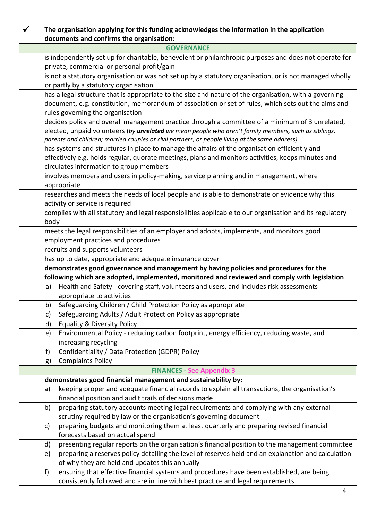|                                                               | The organisation applying for this funding acknowledges the information in the application                                                                                                                   |  |  |  |  |  |
|---------------------------------------------------------------|--------------------------------------------------------------------------------------------------------------------------------------------------------------------------------------------------------------|--|--|--|--|--|
| documents and confirms the organisation:<br><b>GOVERNANCE</b> |                                                                                                                                                                                                              |  |  |  |  |  |
|                                                               |                                                                                                                                                                                                              |  |  |  |  |  |
|                                                               | is independently set up for charitable, benevolent or philanthropic purposes and does not operate for<br>private, commercial or personal profit/gain                                                         |  |  |  |  |  |
|                                                               | is not a statutory organisation or was not set up by a statutory organisation, or is not managed wholly                                                                                                      |  |  |  |  |  |
|                                                               | or partly by a statutory organisation                                                                                                                                                                        |  |  |  |  |  |
|                                                               | has a legal structure that is appropriate to the size and nature of the organisation, with a governing                                                                                                       |  |  |  |  |  |
|                                                               | document, e.g. constitution, memorandum of association or set of rules, which sets out the aims and                                                                                                          |  |  |  |  |  |
|                                                               | rules governing the organisation                                                                                                                                                                             |  |  |  |  |  |
|                                                               | decides policy and overall management practice through a committee of a minimum of 3 unrelated,                                                                                                              |  |  |  |  |  |
|                                                               | elected, unpaid volunteers (by unrelated we mean people who aren't family members, such as siblings,                                                                                                         |  |  |  |  |  |
|                                                               | parents and children; married couples or civil partners; or people living at the same address)                                                                                                               |  |  |  |  |  |
|                                                               | has systems and structures in place to manage the affairs of the organisation efficiently and                                                                                                                |  |  |  |  |  |
|                                                               | effectively e.g. holds regular, quorate meetings, plans and monitors activities, keeps minutes and                                                                                                           |  |  |  |  |  |
|                                                               | circulates information to group members                                                                                                                                                                      |  |  |  |  |  |
|                                                               | involves members and users in policy-making, service planning and in management, where                                                                                                                       |  |  |  |  |  |
|                                                               | appropriate                                                                                                                                                                                                  |  |  |  |  |  |
|                                                               | researches and meets the needs of local people and is able to demonstrate or evidence why this                                                                                                               |  |  |  |  |  |
|                                                               | activity or service is required                                                                                                                                                                              |  |  |  |  |  |
|                                                               | complies with all statutory and legal responsibilities applicable to our organisation and its regulatory                                                                                                     |  |  |  |  |  |
|                                                               | body                                                                                                                                                                                                         |  |  |  |  |  |
|                                                               | meets the legal responsibilities of an employer and adopts, implements, and monitors good                                                                                                                    |  |  |  |  |  |
|                                                               | employment practices and procedures                                                                                                                                                                          |  |  |  |  |  |
|                                                               | recruits and supports volunteers                                                                                                                                                                             |  |  |  |  |  |
|                                                               | has up to date, appropriate and adequate insurance cover                                                                                                                                                     |  |  |  |  |  |
|                                                               | demonstrates good governance and management by having policies and procedures for the                                                                                                                        |  |  |  |  |  |
|                                                               | following which are adopted, implemented, monitored and reviewed and comply with legislation<br>Health and Safety - covering staff, volunteers and users, and includes risk assessments                      |  |  |  |  |  |
|                                                               | a)<br>appropriate to activities                                                                                                                                                                              |  |  |  |  |  |
|                                                               | Safeguarding Children / Child Protection Policy as appropriate<br>b)                                                                                                                                         |  |  |  |  |  |
|                                                               | Safeguarding Adults / Adult Protection Policy as appropriate                                                                                                                                                 |  |  |  |  |  |
|                                                               | c)<br><b>Equality &amp; Diversity Policy</b>                                                                                                                                                                 |  |  |  |  |  |
|                                                               | d)<br>Environmental Policy - reducing carbon footprint, energy efficiency, reducing waste, and                                                                                                               |  |  |  |  |  |
|                                                               | e)<br>increasing recycling                                                                                                                                                                                   |  |  |  |  |  |
|                                                               | Confidentiality / Data Protection (GDPR) Policy<br>f)                                                                                                                                                        |  |  |  |  |  |
|                                                               | <b>Complaints Policy</b>                                                                                                                                                                                     |  |  |  |  |  |
|                                                               | g)<br><b>FINANCES - See Appendix 3</b>                                                                                                                                                                       |  |  |  |  |  |
|                                                               | demonstrates good financial management and sustainability by:                                                                                                                                                |  |  |  |  |  |
|                                                               | keeping proper and adequate financial records to explain all transactions, the organisation's<br>a)                                                                                                          |  |  |  |  |  |
|                                                               | financial position and audit trails of decisions made                                                                                                                                                        |  |  |  |  |  |
|                                                               | preparing statutory accounts meeting legal requirements and complying with any external                                                                                                                      |  |  |  |  |  |
|                                                               | b)<br>scrutiny required by law or the organisation's governing document                                                                                                                                      |  |  |  |  |  |
|                                                               | preparing budgets and monitoring them at least quarterly and preparing revised financial                                                                                                                     |  |  |  |  |  |
|                                                               | c)<br>forecasts based on actual spend                                                                                                                                                                        |  |  |  |  |  |
|                                                               |                                                                                                                                                                                                              |  |  |  |  |  |
|                                                               | presenting regular reports on the organisation's financial position to the management committee<br>d)<br>preparing a reserves policy detailing the level of reserves held and an explanation and calculation |  |  |  |  |  |
|                                                               | e)<br>of why they are held and updates this annually                                                                                                                                                         |  |  |  |  |  |
|                                                               | f)<br>ensuring that effective financial systems and procedures have been established, are being                                                                                                              |  |  |  |  |  |
|                                                               | consistently followed and are in line with best practice and legal requirements                                                                                                                              |  |  |  |  |  |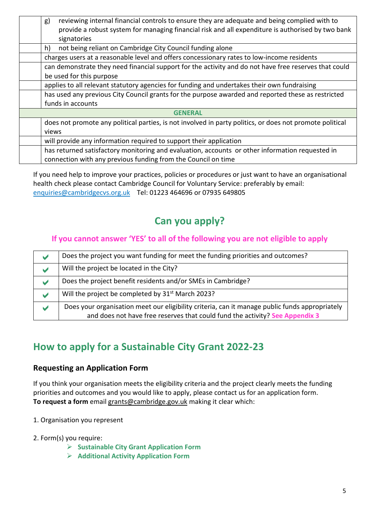| not being reliant on Cambridge City Council funding alone<br>h)<br>charges users at a reasonable level and offers concessionary rates to low-income residents<br>can demonstrate they need financial support for the activity and do not have free reserves that could<br>be used for this purpose<br>applies to all relevant statutory agencies for funding and undertakes their own fundraising<br>has used any previous City Council grants for the purpose awarded and reported these as restricted<br>funds in accounts<br><b>GENERAL</b><br>does not promote any political parties, is not involved in party politics, or does not promote political<br>views<br>will provide any information required to support their application<br>has returned satisfactory monitoring and evaluation, accounts or other information requested in<br>connection with any previous funding from the Council on time |  | reviewing internal financial controls to ensure they are adequate and being complied with to<br>g)<br>provide a robust system for managing financial risk and all expenditure is authorised by two bank<br>signatories |  |  |  |
|---------------------------------------------------------------------------------------------------------------------------------------------------------------------------------------------------------------------------------------------------------------------------------------------------------------------------------------------------------------------------------------------------------------------------------------------------------------------------------------------------------------------------------------------------------------------------------------------------------------------------------------------------------------------------------------------------------------------------------------------------------------------------------------------------------------------------------------------------------------------------------------------------------------|--|------------------------------------------------------------------------------------------------------------------------------------------------------------------------------------------------------------------------|--|--|--|
|                                                                                                                                                                                                                                                                                                                                                                                                                                                                                                                                                                                                                                                                                                                                                                                                                                                                                                               |  |                                                                                                                                                                                                                        |  |  |  |
|                                                                                                                                                                                                                                                                                                                                                                                                                                                                                                                                                                                                                                                                                                                                                                                                                                                                                                               |  |                                                                                                                                                                                                                        |  |  |  |
|                                                                                                                                                                                                                                                                                                                                                                                                                                                                                                                                                                                                                                                                                                                                                                                                                                                                                                               |  |                                                                                                                                                                                                                        |  |  |  |
|                                                                                                                                                                                                                                                                                                                                                                                                                                                                                                                                                                                                                                                                                                                                                                                                                                                                                                               |  |                                                                                                                                                                                                                        |  |  |  |
|                                                                                                                                                                                                                                                                                                                                                                                                                                                                                                                                                                                                                                                                                                                                                                                                                                                                                                               |  |                                                                                                                                                                                                                        |  |  |  |
|                                                                                                                                                                                                                                                                                                                                                                                                                                                                                                                                                                                                                                                                                                                                                                                                                                                                                                               |  |                                                                                                                                                                                                                        |  |  |  |
|                                                                                                                                                                                                                                                                                                                                                                                                                                                                                                                                                                                                                                                                                                                                                                                                                                                                                                               |  |                                                                                                                                                                                                                        |  |  |  |
|                                                                                                                                                                                                                                                                                                                                                                                                                                                                                                                                                                                                                                                                                                                                                                                                                                                                                                               |  |                                                                                                                                                                                                                        |  |  |  |
|                                                                                                                                                                                                                                                                                                                                                                                                                                                                                                                                                                                                                                                                                                                                                                                                                                                                                                               |  |                                                                                                                                                                                                                        |  |  |  |
|                                                                                                                                                                                                                                                                                                                                                                                                                                                                                                                                                                                                                                                                                                                                                                                                                                                                                                               |  |                                                                                                                                                                                                                        |  |  |  |
|                                                                                                                                                                                                                                                                                                                                                                                                                                                                                                                                                                                                                                                                                                                                                                                                                                                                                                               |  |                                                                                                                                                                                                                        |  |  |  |
|                                                                                                                                                                                                                                                                                                                                                                                                                                                                                                                                                                                                                                                                                                                                                                                                                                                                                                               |  |                                                                                                                                                                                                                        |  |  |  |
|                                                                                                                                                                                                                                                                                                                                                                                                                                                                                                                                                                                                                                                                                                                                                                                                                                                                                                               |  |                                                                                                                                                                                                                        |  |  |  |

If you need help to improve your practices, policies or procedures or just want to have an organisational health check please contact Cambridge Council for Voluntary Service: preferably by email: [enquiries@cambridgecvs.org.uk](mailto:enquiries@cambridgecvs.org.uk) Tel: 01223 464696 or 07935 649805

# **Can you apply?**

## **If you cannot answer 'YES' to all of the following you are not eligible to apply**

| V                    | Does the project you want funding for meet the funding priorities and outcomes?                |
|----------------------|------------------------------------------------------------------------------------------------|
| V                    | Will the project be located in the City?                                                       |
| V                    | Does the project benefit residents and/or SMEs in Cambridge?                                   |
| $\blacktriangledown$ | Will the project be completed by 31 <sup>st</sup> March 2023?                                  |
| v                    | Does your organisation meet our eligibility criteria, can it manage public funds appropriately |
|                      | and does not have free reserves that could fund the activity? See Appendix 3                   |

# **How to apply for a Sustainable City Grant 2022-23**

## **Requesting an Application Form**

If you think your organisation meets the eligibility criteria and the project clearly meets the funding priorities and outcomes and you would like to apply, please contact us for an application form. **To request a form** email [grants@cambridge.gov.uk](mailto:grants@cambridge.gov.uk) making it clear which:

- 1. Organisation you represent
- 2. Form(s) you require:
	- ➢ **Sustainable City Grant Application Form**
	- ➢ **Additional Activity Application Form**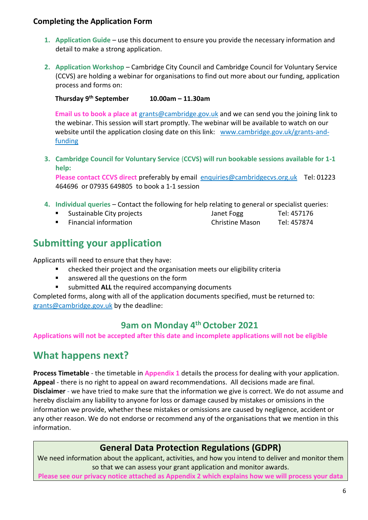## **Completing the Application Form**

- **1. Application Guide** use this document to ensure you provide the necessary information and detail to make a strong application.
- **2. Application Workshop** Cambridge City Council and Cambridge Council for Voluntary Service (CCVS) are holding a webinar for organisations to find out more about our funding, application process and forms on:

**Thursday 9 th September 10.00am – 11.30am**

**Email us to book a place at** [grants@cambridge.gov.uk](file://///MH_SHARED_SERVER.ccc.local/SHARED/MH/Data/Community%20Services/Grants%20&%20Voluntary%20Sector%20Support/1%20Grant%20Rounds/2020-21/Templates/grants@cambridge.gov.uk%20) and we can send you the joining link to the webinar. This session will start promptly. The webinar will be available to watch on our website until the application closing date on this link: [www.cambridge.gov.uk/grants-and](file://///MH_SHARED_SERVER.ccc.local/SHARED/GH/Data/Strategy%20&%20Partnerships/Sustainability/Sustainable%20City%20Grants/Applications%20+%20Monitoring/2022-23%20Completed%20Applications/www.cambridge.gov.uk/grants-and-funding)[funding](file://///MH_SHARED_SERVER.ccc.local/SHARED/GH/Data/Strategy%20&%20Partnerships/Sustainability/Sustainable%20City%20Grants/Applications%20+%20Monitoring/2022-23%20Completed%20Applications/www.cambridge.gov.uk/grants-and-funding)

**3. Cambridge Council for Voluntary Service** (**CCVS) will run bookable sessions available for 1-1 help:**

**Please contact CCVS direct** preferably by email [enquiries@cambridgecvs.org.uk](mailto:enquiries@cambridgecvs.org.uk) Tel: 01223 464696 or 07935 649805 to book a 1-1 session

- **4. Individual queries** Contact the following for help relating to general or specialist queries:
	- Sustainable City projects and Janet Fogg Tel: 457176
	- Financial information Christine Mason Tel: 457874

# **Submitting your application**

Applicants will need to ensure that they have:

- checked their project and the organisation meets our eligibility criteria
- answered all the questions on the form
- submitted **ALL** the required accompanying documents

Completed forms, along with all of the application documents specified, must be returned to: [grants@cambridge.gov.uk](mailto:grants@cambridge.gov.uk) by the deadline:

# **9am on Monday 4thOctober 2021**

**Applications will not be accepted after this date and incomplete applications will not be eligible**

# **What happens next?**

**Process Timetable** - the timetable in **Appendix 1** details the process for dealing with your application. **Appeal** - there is no right to appeal on award recommendations. All decisions made are final. **Disclaimer** - we have tried to make sure that the information we give is correct. We do not assume and hereby disclaim any liability to anyone for loss or damage caused by mistakes or omissions in the information we provide, whether these mistakes or omissions are caused by negligence, accident or any other reason. We do not endorse or recommend any of the organisations that we mention in this information.

# **General Data Protection Regulations (GDPR)**

We need information about the applicant, activities, and how you intend to deliver and monitor them so that we can assess your grant application and monitor awards.

**Please see our privacy notice attached as Appendix 2 which explains how we will process your data**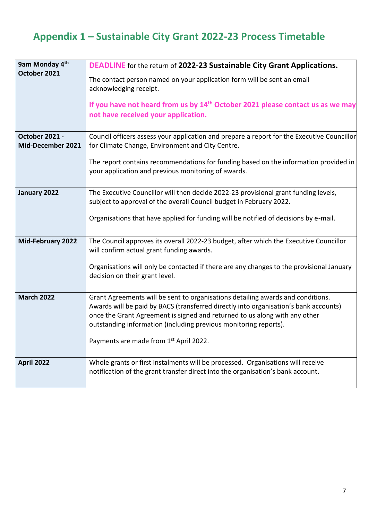# **Appendix 1 – Sustainable City Grant 2022-23 Process Timetable**

| 9am Monday 4 <sup>th</sup>                 | <b>DEADLINE</b> for the return of 2022-23 Sustainable City Grant Applications.                                                                                                                                                                                                                                            |  |  |
|--------------------------------------------|---------------------------------------------------------------------------------------------------------------------------------------------------------------------------------------------------------------------------------------------------------------------------------------------------------------------------|--|--|
| October 2021                               | The contact person named on your application form will be sent an email<br>acknowledging receipt.                                                                                                                                                                                                                         |  |  |
|                                            | If you have not heard from us by $14th$ October 2021 please contact us as we may<br>not have received your application.                                                                                                                                                                                                   |  |  |
| <b>October 2021 -</b><br>Mid-December 2021 | Council officers assess your application and prepare a report for the Executive Councillor<br>for Climate Change, Environment and City Centre.                                                                                                                                                                            |  |  |
|                                            | The report contains recommendations for funding based on the information provided in<br>your application and previous monitoring of awards.                                                                                                                                                                               |  |  |
| January 2022                               | The Executive Councillor will then decide 2022-23 provisional grant funding levels,                                                                                                                                                                                                                                       |  |  |
|                                            | subject to approval of the overall Council budget in February 2022.                                                                                                                                                                                                                                                       |  |  |
|                                            | Organisations that have applied for funding will be notified of decisions by e-mail.                                                                                                                                                                                                                                      |  |  |
| <b>Mid-February 2022</b>                   | The Council approves its overall 2022-23 budget, after which the Executive Councillor<br>will confirm actual grant funding awards.                                                                                                                                                                                        |  |  |
|                                            | Organisations will only be contacted if there are any changes to the provisional January<br>decision on their grant level.                                                                                                                                                                                                |  |  |
| <b>March 2022</b>                          | Grant Agreements will be sent to organisations detailing awards and conditions.<br>Awards will be paid by BACS (transferred directly into organisation's bank accounts)<br>once the Grant Agreement is signed and returned to us along with any other<br>outstanding information (including previous monitoring reports). |  |  |
|                                            | Payments are made from 1st April 2022.                                                                                                                                                                                                                                                                                    |  |  |
| <b>April 2022</b>                          | Whole grants or first instalments will be processed. Organisations will receive<br>notification of the grant transfer direct into the organisation's bank account.                                                                                                                                                        |  |  |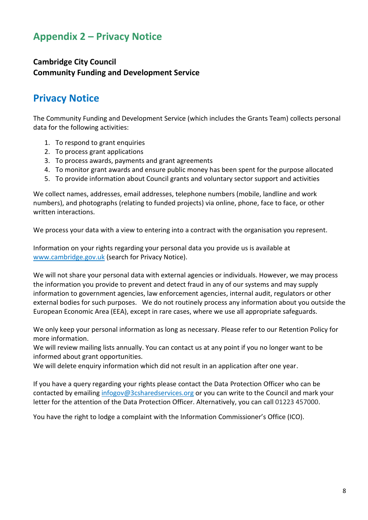# **Appendix 2 – Privacy Notice**

## **Cambridge City Council Community Funding and Development Service**

# **Privacy Notice**

The Community Funding and Development Service (which includes the Grants Team) collects personal data for the following activities:

- 1. To respond to grant enquiries
- 2. To process grant applications
- 3. To process awards, payments and grant agreements
- 4. To monitor grant awards and ensure public money has been spent for the purpose allocated
- 5. To provide information about Council grants and voluntary sector support and activities

We collect names, addresses, email addresses, telephone numbers (mobile, landline and work numbers), and photographs (relating to funded projects) via online, phone, face to face, or other written interactions.

We process your data with a view to entering into a contract with the organisation you represent.

Information on your rights regarding your personal data you provide us is available at [www.cambridge.gov.uk](file:///E:/Grants/2020/Sustainable/www.cambridge.gov.uk) (search for Privacy Notice).

We will not share your personal data with external agencies or individuals. However, we may process the information you provide to prevent and detect fraud in any of our systems and may supply information to government agencies, law enforcement agencies, internal audit, regulators or other external bodies for such purposes. We do not routinely process any information about you outside the European Economic Area (EEA), except in rare cases, where we use all appropriate safeguards.

We only keep your personal information as long as necessary. Please refer to our Retention Policy for more information.

We will review mailing lists annually. You can contact us at any point if you no longer want to be informed about grant opportunities.

We will delete enquiry information which did not result in an application after one year.

If you have a query regarding your rights please contact the Data Protection Officer who can be contacted by emailing [infogov@3csharedservices.org](file:///E:/Grants/2020/Sustainable/infogov@3csharedservices.org) or you can write to the Council and mark your letter for the attention of the Data Protection Officer. Alternatively, you can call 01223 457000.

You have the right to lodge a complaint with the Information Commissioner's Office (ICO).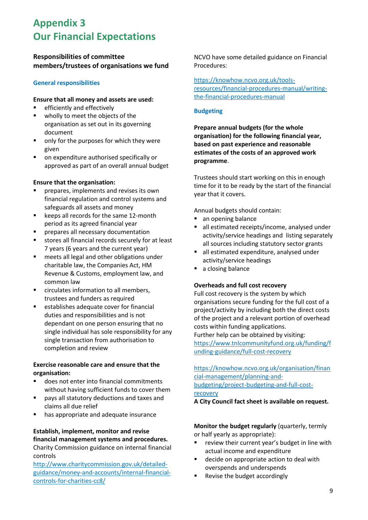# **Appendix 3 Our Financial Expectations**

### **Responsibilities of committee members/trustees of organisations we fund**

### **General responsibilities**

#### **Ensure that all money and assets are used:**

- efficiently and effectively
- wholly to meet the objects of the organisation as set out in its governing document
- only for the purposes for which they were given
- on expenditure authorised specifically or approved as part of an overall annual budget

#### **Ensure that the organisation:**

- prepares, implements and revises its own financial regulation and control systems and safeguards all assets and money
- keeps all records for the same 12-month period as its agreed financial year
- prepares all necessary documentation
- stores all financial records securely for at least 7 years (6 years and the current year)
- meets all legal and other obligations under charitable law, the Companies Act, HM Revenue & Customs, employment law, and common law
- circulates information to all members. trustees and funders as required
- establishes adequate cover for financial duties and responsibilities and is not dependant on one person ensuring that no single individual has sole responsibility for any single transaction from authorisation to completion and review

### **Exercise reasonable care and ensure that the organisation:**

- does not enter into financial commitments without having sufficient funds to cover them
- pays all statutory deductions and taxes and claims all due relief
- has appropriate and adequate insurance

#### **Establish, implement, monitor and revise financial management systems and procedures.**

Charity Commission guidance on internal financial controls

[http://www.charitycommission.gov.uk/detailed](http://www.charitycommission.gov.uk/detailed-guidance/money-and-accounts/internal-financial-controls-for-charities-cc8/)[guidance/money-and-accounts/internal-financial](http://www.charitycommission.gov.uk/detailed-guidance/money-and-accounts/internal-financial-controls-for-charities-cc8/)[controls-for-charities-cc8/](http://www.charitycommission.gov.uk/detailed-guidance/money-and-accounts/internal-financial-controls-for-charities-cc8/)

NCVO have some detailed guidance on Financial Procedures:

[https://knowhow.ncvo.org.uk/tools](https://knowhow.ncvo.org.uk/tools-resources/financial-procedures-manual/writing-the-financial-procedures-manual)[resources/financial-procedures-manual/writing](https://knowhow.ncvo.org.uk/tools-resources/financial-procedures-manual/writing-the-financial-procedures-manual)[the-financial-procedures-manual](https://knowhow.ncvo.org.uk/tools-resources/financial-procedures-manual/writing-the-financial-procedures-manual)

### **Budgeting**

**Prepare annual budgets (for the whole organisation) for the following financial year, based on past experience and reasonable estimates of the costs of an approved work programme**.

Trustees should start working on this in enough time for it to be ready by the start of the financial year that it covers.

Annual budgets should contain:

- an opening balance
- all estimated receipts/income, analysed under activity/service headings and listing separately all sources including statutory sector grants
- all estimated expenditure, analysed under activity/service headings
- a closing balance

### **Overheads and full cost recovery**

Full cost recovery is the system by which organisations secure funding for the full cost of a project/activity by including both the direct costs of the project and a relevant portion of overhead costs within funding applications.

Further help can be obtained by visiting: [https://www.tnlcommunityfund.org.uk/funding/f](https://www.tnlcommunityfund.org.uk/funding/funding-guidance/full-cost-recovery) [unding-guidance/full-cost-recovery](https://www.tnlcommunityfund.org.uk/funding/funding-guidance/full-cost-recovery)

### [https://knowhow.ncvo.org.uk/organisation/finan](https://knowhow.ncvo.org.uk/organisation/financial-management/planning-and-budgeting/project-budgeting-and-full-cost-recovery) [cial-management/planning-and](https://knowhow.ncvo.org.uk/organisation/financial-management/planning-and-budgeting/project-budgeting-and-full-cost-recovery)[budgeting/project-budgeting-and-full-cost](https://knowhow.ncvo.org.uk/organisation/financial-management/planning-and-budgeting/project-budgeting-and-full-cost-recovery)[recovery](https://knowhow.ncvo.org.uk/organisation/financial-management/planning-and-budgeting/project-budgeting-and-full-cost-recovery)

**A City Council fact sheet is available on request.**

### **Monitor the budget regularly** (quarterly, termly or half yearly as appropriate):

- review their current year's budget in line with actual income and expenditure
- decide on appropriate action to deal with overspends and underspends
- Revise the budget accordingly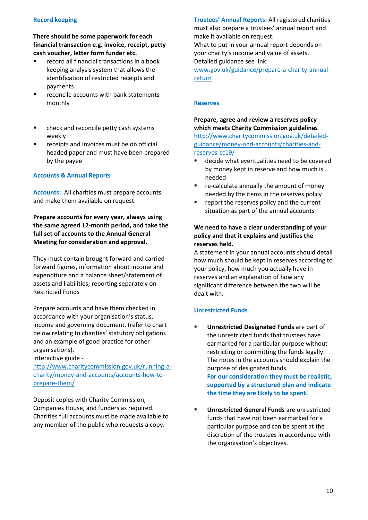### **Record keeping**

**There should be some paperwork for each financial transaction e.g. invoice, receipt, petty cash voucher, letter form funder etc.**

- record all financial transactions in a book keeping analysis system that allows the identification of restricted receipts and payments
- reconcile accounts with bank statements monthly
- check and reconcile petty cash systems weekly
- receipts and invoices must be on official headed paper and must have been prepared by the payee

#### **Accounts & Annual Reports**

**Accounts:** All charities must prepare accounts and make them available on request.

**Prepare accounts for every year, always using the same agreed 12-month period, and take the full set of accounts to the Annual General Meeting for consideration and approval.**

They must contain brought forward and carried forward figures, information about income and expenditure and a balance sheet/statement of assets and liabilities; reporting separately on Restricted Funds

Prepare accounts and have them checked in accordance with your organisation's status, income and governing document. (refer to chart below relating to charities' statutory obligations and an example of good practice for other organisations).

Interactive guide -

[http://www.charitycommission.gov.uk/running-a](http://www.charitycommission.gov.uk/running-a-charity/money-and-accounts/accounts-how-to-prepare-them/)[charity/money-and-accounts/accounts-how-to](http://www.charitycommission.gov.uk/running-a-charity/money-and-accounts/accounts-how-to-prepare-them/)[prepare-them/](http://www.charitycommission.gov.uk/running-a-charity/money-and-accounts/accounts-how-to-prepare-them/)

Deposit copies with Charity Commission, Companies House, and funders as required. Charities full accounts must be made available to any member of the public who requests a copy.

**Trustees' Annual Reports:** All registered charities must also prepare a trustees' annual report and make it available on request. What to put in your annual report depends on your charity's income and value of assets. Detailed guidance see link: [www.gov.uk/guidance/prepare-a-charity-annual](http://www.gov.uk/guidance/prepare-a-charity-annual-return)[return](http://www.gov.uk/guidance/prepare-a-charity-annual-return)

#### **Reserves**

**Prepare, agree and review a reserves policy which meets Charity Commission guidelines**  [http://www.charitycommission.gov.uk/detailed](http://www.charitycommission.gov.uk/detailed-guidance/money-and-accounts/charities-and-reserves-cc19/)[guidance/money-and-accounts/charities-and](http://www.charitycommission.gov.uk/detailed-guidance/money-and-accounts/charities-and-reserves-cc19/)[reserves-cc19/](http://www.charitycommission.gov.uk/detailed-guidance/money-and-accounts/charities-and-reserves-cc19/)

- decide what eventualities need to be covered by money kept in reserve and how much is needed
- re-calculate annually the amount of money needed by the items in the reserves policy
- report the reserves policy and the current situation as part of the annual accounts

### **We need to have a clear understanding of your policy and that it explains and justifies the reserves held.**

A statement in your annual accounts should detail how much should be kept in reserves according to your policy, how much you actually have in reserves and an explanation of how any significant difference between the two will be dealt with.

#### **Unrestricted Funds**

- **Unrestricted Designated Funds** are part of the unrestricted funds that trustees have earmarked for a particular purpose without restricting or committing the funds legally. The notes in the accounts should explain the purpose of designated funds. **For our consideration they must be realistic, supported by a structured plan and indicate the time they are likely to be spent.**
- **Unrestricted General Funds** are unrestricted funds that have not been earmarked for a particular purpose and can be spent at the discretion of the trustees in accordance with the organisation's objectives.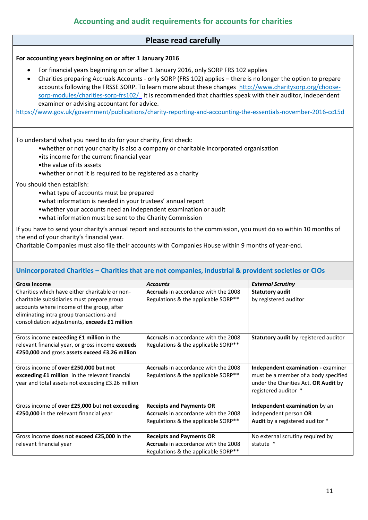### **Please read carefully**

### **For accounting years beginning on or after 1 January 2016**

- For financial years beginning on or after 1 January 2016, only SORP FRS 102 applies
- Charities preparing Accruals Accounts only SORP (FRS 102) applies there is no longer the option to prepare accounts following the FRSSE SORP. To learn more about these changes [http://www.charitysorp.org/choose](http://www.charitysorp.org/choose-sorp-modules/charities-sorp-frs102/)[sorp-modules/charities-sorp-frs102/](http://www.charitysorp.org/choose-sorp-modules/charities-sorp-frs102/) It is recommended that charities speak with their auditor, independent examiner or advising accountant for advice.

<https://www.gov.uk/government/publications/charity-reporting-and-accounting-the-essentials-november-2016-cc15d>

To understand what you need to do for your charity, first check:

- •whether or not your charity is also a company or charitable incorporated organisation
	- •its income for the current financial year
	- •the value of its assets
	- •whether or not it is required to be registered as a charity

You should then establish:

- •what type of accounts must be prepared
- •what information is needed in your trustees' annual report
- •whether your accounts need an independent examination or audit
- •what information must be sent to the Charity Commission

If you have to send your charity's annual report and accounts to the commission, you must do so within 10 months of the end of your charity's financial year.

Charitable Companies must also file their accounts with Companies House within 9 months of year-end.

### **Unincorporated Charities – Charities that are not companies, industrial & provident societies or CIOs**

| <b>Gross Income</b>                                                                                                                                                                                                                    | <b>Accounts</b>                                                                                                | <b>External Scrutiny</b>                                                                                                                   |
|----------------------------------------------------------------------------------------------------------------------------------------------------------------------------------------------------------------------------------------|----------------------------------------------------------------------------------------------------------------|--------------------------------------------------------------------------------------------------------------------------------------------|
| Charities which have either charitable or non-<br>charitable subsidiaries must prepare group<br>accounts where income of the group, after<br>eliminating intra group transactions and<br>consolidation adjustments, exceeds £1 million | <b>Accruals</b> in accordance with the 2008<br>Regulations & the applicable SORP**                             | <b>Statutory audit</b><br>by registered auditor                                                                                            |
| Gross income exceeding £1 million in the<br>relevant financial year, or gross income exceeds<br>£250,000 and gross assets exceed £3.26 million                                                                                         | Accruals in accordance with the 2008<br>Regulations & the applicable SORP**                                    | Statutory audit by registered auditor                                                                                                      |
| Gross income of over £250,000 but not<br>exceeding £1 million in the relevant financial<br>year and total assets not exceeding £3.26 million                                                                                           | Accruals in accordance with the 2008<br>Regulations & the applicable SORP**                                    | Independent examination - examiner<br>must be a member of a body specified<br>under the Charities Act. OR Audit by<br>registered auditor * |
| Gross income of over £25,000 but not exceeding<br>£250,000 in the relevant financial year                                                                                                                                              | <b>Receipts and Payments OR</b><br>Accruals in accordance with the 2008<br>Regulations & the applicable SORP** | Independent examination by an<br>independent person OR<br><b>Audit</b> by a registered auditor *                                           |
| Gross income does not exceed £25,000 in the<br>relevant financial year                                                                                                                                                                 | <b>Receipts and Payments OR</b><br>Accruals in accordance with the 2008<br>Regulations & the applicable SORP** | No external scrutiny required by<br>statute *                                                                                              |